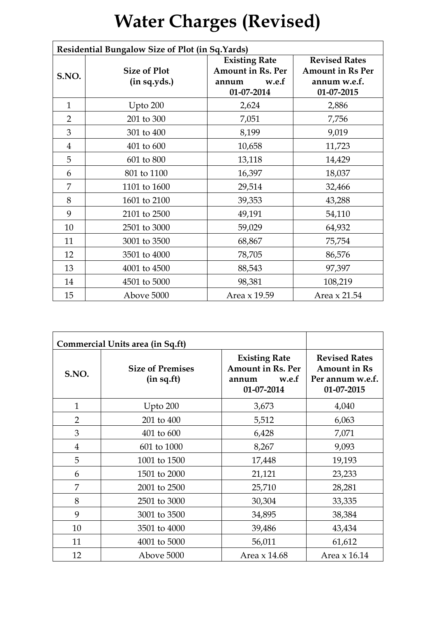## **Water Charges (Revised)**

| Residential Bungalow Size of Plot (in Sq.Yards) |                                     |                                                                                  |                                                                               |
|-------------------------------------------------|-------------------------------------|----------------------------------------------------------------------------------|-------------------------------------------------------------------------------|
| S.NO.                                           | <b>Size of Plot</b><br>(in sq.yds.) | <b>Existing Rate</b><br><b>Amount in Rs. Per</b><br>w.e.f<br>annum<br>01-07-2014 | <b>Revised Rates</b><br><b>Amount in Rs Per</b><br>annum w.e.f.<br>01-07-2015 |
| $\mathbf{1}$                                    | Upto 200                            | 2,624                                                                            | 2,886                                                                         |
| $\overline{2}$                                  | 201 to 300                          | 7,051                                                                            | 7,756                                                                         |
| 3                                               | 301 to 400                          | 8,199                                                                            | 9,019                                                                         |
| $\overline{4}$                                  | 401 to 600                          | 10,658                                                                           | 11,723                                                                        |
| 5                                               | 601 to 800                          | 13,118                                                                           | 14,429                                                                        |
| 6                                               | 801 to 1100                         | 16,397                                                                           | 18,037                                                                        |
| 7                                               | 1101 to 1600                        | 29,514                                                                           | 32,466                                                                        |
| 8                                               | 1601 to 2100                        | 39,353                                                                           | 43,288                                                                        |
| 9                                               | 2101 to 2500                        | 49,191                                                                           | 54,110                                                                        |
| 10                                              | 2501 to 3000                        | 59,029                                                                           | 64,932                                                                        |
| 11                                              | 3001 to 3500                        | 68,867                                                                           | 75,754                                                                        |
| 12                                              | 3501 to 4000                        | 78,705                                                                           | 86,576                                                                        |
| 13                                              | 4001 to 4500                        | 88,543                                                                           | 97,397                                                                        |
| 14                                              | 4501 to 5000                        | 98,381                                                                           | 108,219                                                                       |
| 15                                              | Above 5000                          | Area x 19.59                                                                     | Area x 21.54                                                                  |

| Commercial Units area (in Sq.ft) |                                        |                                                                                  |                                                                               |
|----------------------------------|----------------------------------------|----------------------------------------------------------------------------------|-------------------------------------------------------------------------------|
| S.NO.                            | <b>Size of Premises</b><br>(in sq.fit) | <b>Existing Rate</b><br><b>Amount in Rs. Per</b><br>w.e.f<br>annum<br>01-07-2014 | <b>Revised Rates</b><br><b>Amount in Rs</b><br>Per annum w.e.f.<br>01-07-2015 |
| $\mathbf{1}$                     | Upto $200$                             | 3,673                                                                            | 4,040                                                                         |
| $\overline{2}$                   | 201 to 400                             | 5,512                                                                            | 6,063                                                                         |
| 3                                | 401 to 600                             | 6,428                                                                            | 7,071                                                                         |
| $\overline{4}$                   | 601 to 1000                            | 8,267                                                                            | 9,093                                                                         |
| 5                                | 1001 to 1500                           | 17,448                                                                           | 19,193                                                                        |
| 6                                | 1501 to 2000                           | 21,121                                                                           | 23,233                                                                        |
| 7                                | 2001 to 2500                           | 25,710                                                                           | 28,281                                                                        |
| 8                                | 2501 to 3000                           | 30,304                                                                           | 33,335                                                                        |
| 9                                | 3001 to 3500                           | 34,895                                                                           | 38,384                                                                        |
| 10                               | 3501 to 4000                           | 39,486                                                                           | 43,434                                                                        |
| 11                               | 4001 to 5000                           | 56,011                                                                           | 61,612                                                                        |
| 12                               | Above 5000                             | Area x 14.68                                                                     | Area x 16.14                                                                  |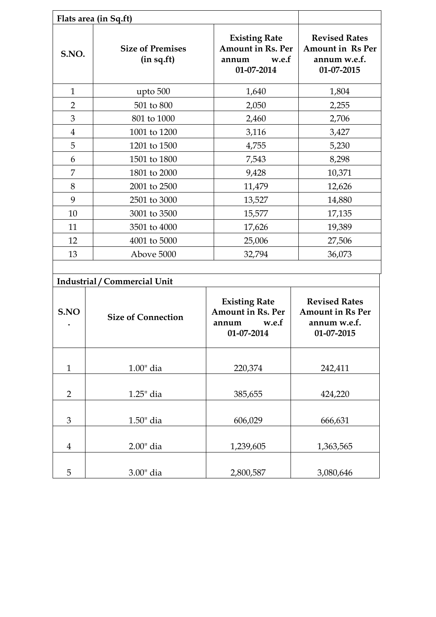|                | Flats area (in Sq.ft)                  |                                                                                  |                                                                               |  |
|----------------|----------------------------------------|----------------------------------------------------------------------------------|-------------------------------------------------------------------------------|--|
| S.NO.          | <b>Size of Premises</b><br>(in sq.fit) | <b>Existing Rate</b><br><b>Amount in Rs. Per</b><br>w.e.f<br>annum<br>01-07-2014 | <b>Revised Rates</b><br><b>Amount in Rs Per</b><br>annum w.e.f.<br>01-07-2015 |  |
| $\mathbf{1}$   | upto 500                               | 1,640                                                                            | 1,804                                                                         |  |
| 2              | 501 to 800                             | 2,050                                                                            | 2,255                                                                         |  |
| 3              | 801 to 1000                            | 2,460                                                                            | 2,706                                                                         |  |
| $\overline{4}$ | 1001 to 1200                           | 3,116                                                                            | 3,427                                                                         |  |
| 5              | 1201 to 1500                           | 4,755                                                                            | 5,230                                                                         |  |
| 6              | 1501 to 1800                           | 7,543                                                                            | 8,298                                                                         |  |
| 7              | 1801 to 2000                           | 9,428                                                                            | 10,371                                                                        |  |
| 8              | 2001 to 2500                           | 11,479                                                                           | 12,626                                                                        |  |
| 9              | 2501 to 3000                           | 13,527                                                                           | 14,880                                                                        |  |
| 10             | 3001 to 3500                           | 15,577                                                                           | 17,135                                                                        |  |
| 11             | 3501 to 4000                           | 17,626                                                                           | 19,389                                                                        |  |
| 12             | 4001 to 5000                           | 25,006                                                                           | 27,506                                                                        |  |
| 13             | Above 5000                             | 32,794                                                                           | 36,073                                                                        |  |
|                |                                        |                                                                                  |                                                                               |  |
|                | <b>Industrial / Commercial Unit</b>    |                                                                                  |                                                                               |  |
| S.NO           | <b>Size of Connection</b>              | <b>Existing Rate</b><br><b>Amount in Rs. Per</b><br>w.e.f<br>annum<br>01-07-2014 | <b>Revised Rates</b><br><b>Amount in Rs Per</b><br>annum w.e.f.<br>01-07-2015 |  |
| $\mathbf{1}$   | $1.00$ " dia                           | 220,374                                                                          | 242,411                                                                       |  |
| $\overline{2}$ | 1.25" dia                              | 385,655                                                                          | 424,220                                                                       |  |
| 3              | $1.50$ " dia                           | 606,029                                                                          | 666,631                                                                       |  |
| $\overline{4}$ | $2.00$ " dia                           | 1,239,605                                                                        | 1,363,565                                                                     |  |
| 5              | 3.00" dia                              | 2,800,587                                                                        | 3,080,646                                                                     |  |